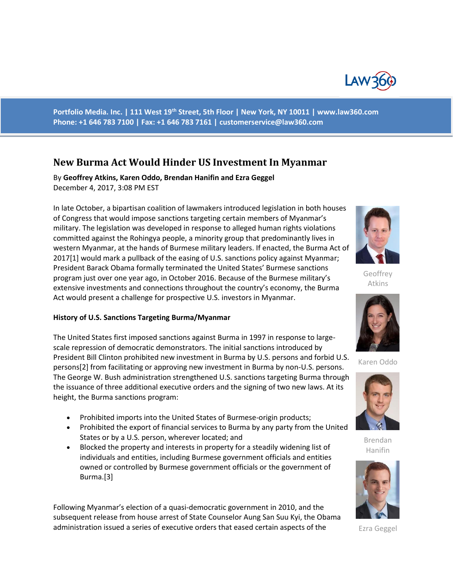

**Portfolio Media. Inc. | 111 West 19th Street, 5th Floor | New York, NY 10011 | www.law360.com Phone: +1 646 783 7100 | Fax: +1 646 783 7161 | [customerservice@law360.com](mailto:customerservice@law360.com)**

# **New Burma Act Would Hinder US Investment In Myanmar**

By **Geoffrey Atkins, Karen Oddo, Brendan Hanifin and Ezra Geggel**  December 4, 2017, 3:08 PM EST

In late October, a bipartisan coalition of lawmakers introduced legislation in both houses of Congress that would impose sanctions targeting certain members of Myanmar's military. The legislation was developed in response to alleged human rights violations committed against the Rohingya people, a minority group that predominantly lives in western Myanmar, at the hands of Burmese military leaders. If enacted, the Burma Act of 2017[1] would mark a pullback of the easing of U.S. sanctions policy against Myanmar; President Barack Obama formally terminated the United States' Burmese sanctions program just over one year ago, in October 2016. Because of the Burmese military's extensive investments and connections throughout the country's economy, the Burma Act would present a challenge for prospective U.S. investors in Myanmar.

#### **History of U.S. Sanctions Targeting Burma/Myanmar**

The United States first imposed sanctions against Burma in 1997 in response to largescale repression of democratic demonstrators. The initial sanctions introduced by President Bill Clinton prohibited new investment in Burma by U.S. persons and forbid U.S. persons[2] from facilitating or approving new investment in Burma by non-U.S. persons. The George W. Bush administration strengthened U.S. sanctions targeting Burma through the issuance of three additional executive orders and the signing of two new laws. At its height, the Burma sanctions program:

- Prohibited imports into the United States of Burmese-origin products;
- Prohibited the export of financial services to Burma by any party from the United States or by a U.S. person, wherever located; and
- Blocked the property and interests in property for a steadily widening list of individuals and entities, including Burmese government officials and entities owned or controlled by Burmese government officials or the government of Burma.[3]

Following Myanmar's election of a quasi-democratic government in 2010, and the subsequent release from house arrest of State Counselor Aung San Suu Kyi, the Obama administration issued a series of executive orders that eased certain aspects of the



**Geoffrey** Atkins



Karen Oddo



Brendan Hanifin



Ezra Geggel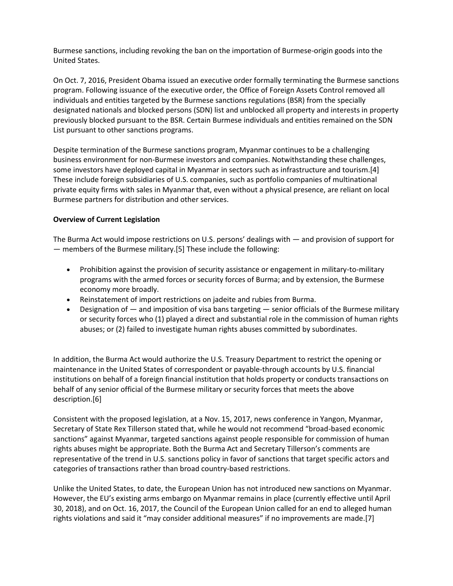Burmese sanctions, including revoking the ban on the importation of Burmese-origin goods into the United States.

On Oct. 7, 2016, President Obama issued an executive order formally terminating the Burmese sanctions program. Following issuance of the executive order, the Office of Foreign Assets Control removed all individuals and entities targeted by the Burmese sanctions regulations (BSR) from the specially designated nationals and blocked persons (SDN) list and unblocked all property and interests in property previously blocked pursuant to the BSR. Certain Burmese individuals and entities remained on the SDN List pursuant to other sanctions programs.

Despite termination of the Burmese sanctions program, Myanmar continues to be a challenging business environment for non-Burmese investors and companies. Notwithstanding these challenges, some investors have deployed capital in Myanmar in sectors such as infrastructure and tourism.[4] These include foreign subsidiaries of U.S. companies, such as portfolio companies of multinational private equity firms with sales in Myanmar that, even without a physical presence, are reliant on local Burmese partners for distribution and other services.

## **Overview of Current Legislation**

The Burma Act would impose restrictions on U.S. persons' dealings with — and provision of support for — members of the Burmese military.[5] These include the following:

- Prohibition against the provision of security assistance or engagement in military-to-military programs with the armed forces or security forces of Burma; and by extension, the Burmese economy more broadly.
- Reinstatement of import restrictions on jadeite and rubies from Burma.
- Designation of  $-$  and imposition of visa bans targeting  $-$  senior officials of the Burmese military or security forces who (1) played a direct and substantial role in the commission of human rights abuses; or (2) failed to investigate human rights abuses committed by subordinates.

In addition, the Burma Act would authorize the U.S. Treasury Department to restrict the opening or maintenance in the United States of correspondent or payable-through accounts by U.S. financial institutions on behalf of a foreign financial institution that holds property or conducts transactions on behalf of any senior official of the Burmese military or security forces that meets the above description.[6]

Consistent with the proposed legislation, at a Nov. 15, 2017, news conference in Yangon, Myanmar, Secretary of State Rex Tillerson stated that, while he would not recommend "broad-based economic sanctions" against Myanmar, targeted sanctions against people responsible for commission of human rights abuses might be appropriate. Both the Burma Act and Secretary Tillerson's comments are representative of the trend in U.S. sanctions policy in favor of sanctions that target specific actors and categories of transactions rather than broad country-based restrictions.

Unlike the United States, to date, the European Union has not introduced new sanctions on Myanmar. However, the EU's existing arms embargo on Myanmar remains in place (currently effective until April 30, 2018), and on Oct. 16, 2017, the Council of the European Union called for an end to alleged human rights violations and said it "may consider additional measures" if no improvements are made.[7]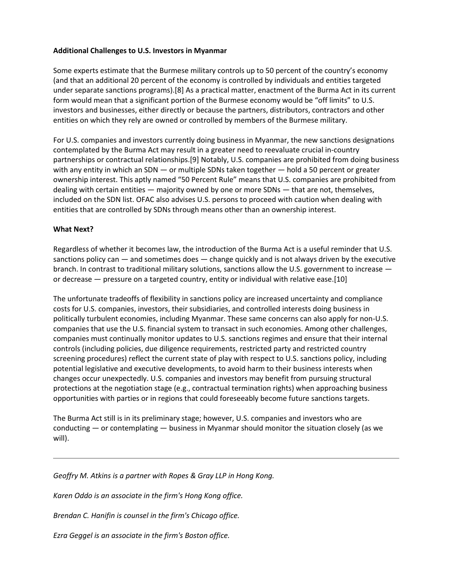## **Additional Challenges to U.S. Investors in Myanmar**

Some experts estimate that the Burmese military controls up to 50 percent of the country's economy (and that an additional 20 percent of the economy is controlled by individuals and entities targeted under separate sanctions programs).[8] As a practical matter, enactment of the Burma Act in its current form would mean that a significant portion of the Burmese economy would be "off limits" to U.S. investors and businesses, either directly or because the partners, distributors, contractors and other entities on which they rely are owned or controlled by members of the Burmese military.

For U.S. companies and investors currently doing business in Myanmar, the new sanctions designations contemplated by the Burma Act may result in a greater need to reevaluate crucial in-country partnerships or contractual relationships.[9] Notably, U.S. companies are prohibited from doing business with any entity in which an SDN — or multiple SDNs taken together — hold a 50 percent or greater ownership interest. This aptly named "50 Percent Rule" means that U.S. companies are prohibited from dealing with certain entities — majority owned by one or more SDNs — that are not, themselves, included on the SDN list. OFAC also advises U.S. persons to proceed with caution when dealing with entities that are controlled by SDNs through means other than an ownership interest.

### **What Next?**

Regardless of whether it becomes law, the introduction of the Burma Act is a useful reminder that U.S. sanctions policy can  $-$  and sometimes does  $-$  change quickly and is not always driven by the executive branch. In contrast to traditional military solutions, sanctions allow the U.S. government to increase or decrease — pressure on a targeted country, entity or individual with relative ease.[10]

The unfortunate tradeoffs of flexibility in sanctions policy are increased uncertainty and compliance costs for U.S. companies, investors, their subsidiaries, and controlled interests doing business in politically turbulent economies, including Myanmar. These same concerns can also apply for non-U.S. companies that use the U.S. financial system to transact in such economies. Among other challenges, companies must continually monitor updates to U.S. sanctions regimes and ensure that their internal controls (including policies, due diligence requirements, restricted party and restricted country screening procedures) reflect the current state of play with respect to U.S. sanctions policy, including potential legislative and executive developments, to avoid harm to their business interests when changes occur unexpectedly. U.S. companies and investors may benefit from pursuing structural protections at the negotiation stage (e.g., contractual termination rights) when approaching business opportunities with parties or in regions that could foreseeably become future sanctions targets.

The Burma Act still is in its preliminary stage; however, U.S. companies and investors who are conducting — or contemplating — business in Myanmar should monitor the situation closely (as we will).

*Geoffry M. Atkins is a partner with Ropes & Gray LLP in Hong Kong.*

*Karen Oddo is an associate in the firm's Hong Kong office.*

*Brendan C. Hanifin is counsel in the firm's Chicago office.*

*Ezra Geggel is an associate in the firm's Boston office.*